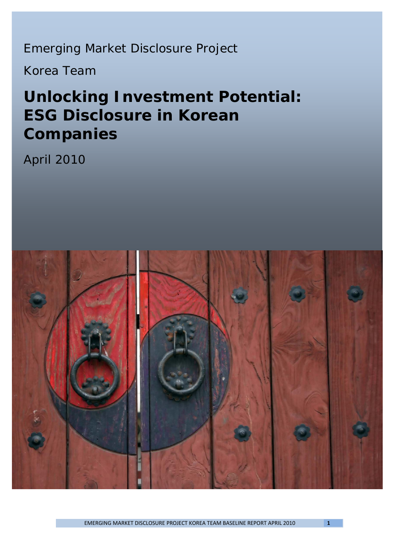Emerging Market Disclosure Project

Korea Team

# *Unlocking Investment Potential: ESG Disclosure in Korean Companies*

April 2010

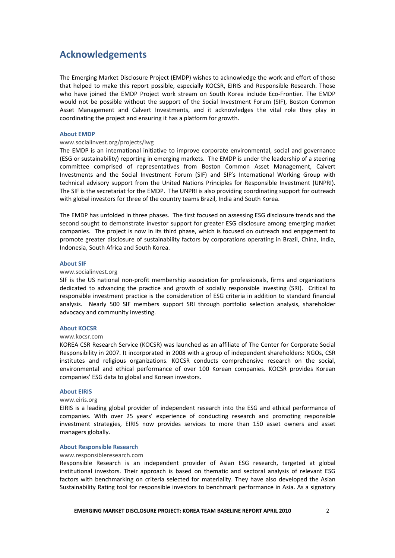# **Acknowledgements**

The Emerging Market Disclosure Project (EMDP) wishes to acknowledge the work and effort of those that helped to make this report possible, especially KOCSR, EIRIS and Responsible Research. Those who have joined the EMDP Project work stream on South Korea include Eco-Frontier. The EMDP would not be possible without the support of the Social Investment Forum (SIF), Boston Common Asset Management and Calvert Investments, and it acknowledges the vital role they play in coordinating the project and ensuring it has a platform for growth.

### **About EMDP**

### www.socialinvest.org/projects/iwg

The EMDP is an international initiative to improve corporate environmental, social and governance (ESG or sustainability) reporting in emerging markets. The EMDP is under the leadership of a steering committee comprised of representatives from Boston Common Asset Management, Calvert Investments and the Social Investment Forum (SIF) and SIF's International Working Group with technical advisory support from the United Nations Principles for Responsible Investment (UNPRI). The SIF is the secretariat for the EMDP. The UNPRI is also providing coordinating support for outreach with global investors for three of the country teams Brazil, India and South Korea.

The EMDP has unfolded in three phases. The first focused on assessing ESG disclosure trends and the second sought to demonstrate investor support for greater ESG disclosure among emerging market companies. The project is now in its third phase, which is focused on outreach and engagement to promote greater disclosure of sustainability factors by corporations operating in Brazil, China, India, Indonesia, South Africa and South Korea.

### **About SIF**

### www.socialinvest.org

SIF is the US national non-profit membership association for professionals, firms and organizations dedicated to advancing the practice and growth of socially responsible investing (SRI). Critical to responsible investment practice is the consideration of ESG criteria in addition to standard financial analysis. Nearly 500 SIF members support SRI through portfolio selection analysis, shareholder advocacy and community investing.

### **About KOCSR**

### www.kocsr.com

KOREA CSR Research Service (KOCSR) was launched as an affiliate of The Center for Corporate Social Responsibility in 2007. It incorporated in 2008 with a group of independent shareholders: NGOs, CSR institutes and religious organizations. KOCSR conducts comprehensive research on the social, environmental and ethical performance of over 100 Korean companies. KOCSR provides Korean companies' ESG data to global and Korean investors.

#### **About EIRIS**

#### www.eiris.org

EIRIS is a leading global provider of independent research into the ESG and ethical performance of companies. With over 25 years' experience of conducting research and promoting responsible investment strategies, EIRIS now provides services to more than 150 asset owners and asset managers globally.

#### **About Responsible Research**

#### www.responsibleresearch.com

Responsible Research is an independent provider of Asian ESG research, targeted at global institutional investors. Their approach is based on thematic and sectoral analysis of relevant ESG factors with benchmarking on criteria selected for materiality. They have also developed the Asian Sustainability Rating tool for responsible investors to benchmark performance in Asia. As a signatory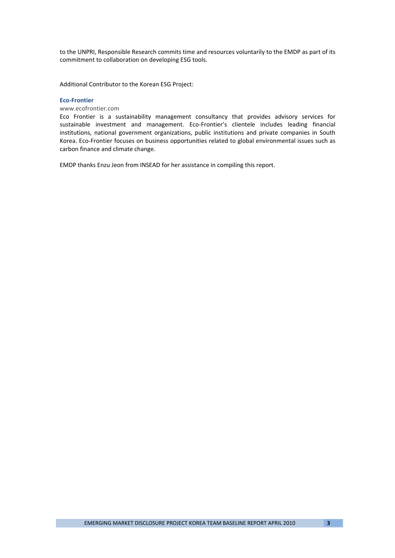to the UNPRI, Responsible Research commits time and resources voluntarily to the EMDP as part of its commitment to collaboration on developing ESG tools.

Additional Contributor to the Korean ESG Project:

#### **Eco‐Frontier**

www.ecofrontier.com

Eco Frontier is a sustainability management consultancy that provides advisory services for sustainable investment and management. Eco‐Frontier's clientele includes leading financial institutions, national government organizations, public institutions and private companies in South Korea. Eco‐Frontier focuses on business opportunities related to global environmental issues such as carbon finance and climate change.

EMDP thanks Enzu Jeon from INSEAD for her assistance in compiling this report.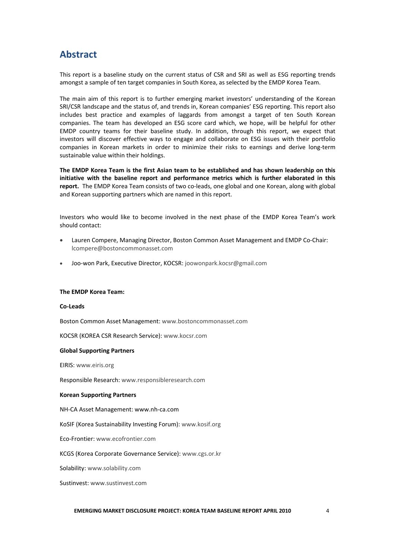# **Abstract**

This report is a baseline study on the current status of CSR and SRI as well as ESG reporting trends amongst a sample of ten target companies in South Korea, as selected by the EMDP Korea Team.

The main aim of this report is to further emerging market investors' understanding of the Korean SRI/CSR landscape and the status of, and trends in, Korean companies' ESG reporting. This report also includes best practice and examples of laggards from amongst a target of ten South Korean companies. The team has developed an ESG score card which, we hope, will be helpful for other EMDP country teams for their baseline study. In addition, through this report, we expect that investors will discover effective ways to engage and collaborate on ESG issues with their portfolio companies in Korean markets in order to minimize their risks to earnings and derive long‐term sustainable value within their holdings.

**The EMDP Korea Team is the first Asian team to be established and has shown leadership on this initiative with the baseline report and performance metrics which is further elaborated in this** report. The EMDP Korea Team consists of two co-leads, one global and one Korean, along with global and Korean supporting partners which are named in this report.

Investors who would like to become involved in the next phase of the EMDP Korea Team's work should contact:

- Lauren Compere, Managing Director, Boston Common Asset Management and EMDP Co‐Chair: lcompere@bostoncommonasset.com
- Joo‐won Park, Executive Director, KOCSR: joowonpark.kocsr@gmail.com

#### **The EMDP Korea Team:**

#### **Co‐Leads**

Boston Common Asset Management: www.bostoncommonasset.com

KOCSR (KOREA CSR Research Service): www.kocsr.com

#### **Global Supporting Partners**

EIRIS: www.eiris.org

Responsible Research: www.responsibleresearch.com

### **Korean Supporting Partners**

NH‐CA Asset Management: www.nh‐ca.com

KoSIF (Korea Sustainability Investing Forum): www.kosif.org

Eco‐Frontier: www.ecofrontier.com

KCGS (Korea Corporate Governance Service): www.cgs.or.kr

Solability: www.solability.com

Sustinvest: www.sustinvest.com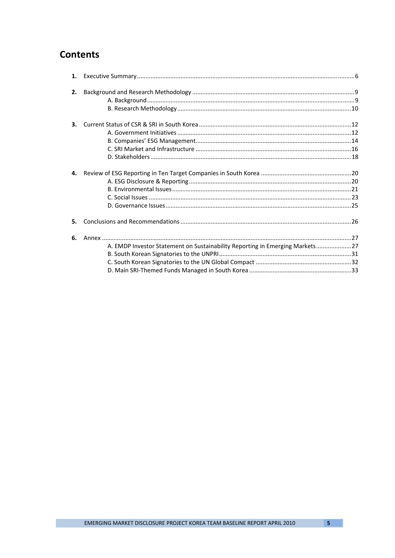# **Contents**

| 1. |                                                                              |  |
|----|------------------------------------------------------------------------------|--|
|    |                                                                              |  |
| 2. |                                                                              |  |
|    |                                                                              |  |
|    |                                                                              |  |
| 3. |                                                                              |  |
|    |                                                                              |  |
|    |                                                                              |  |
|    |                                                                              |  |
|    |                                                                              |  |
| 4. |                                                                              |  |
|    |                                                                              |  |
|    |                                                                              |  |
|    |                                                                              |  |
|    |                                                                              |  |
| 5. |                                                                              |  |
| 6. |                                                                              |  |
|    | A. EMDP Investor Statement on Sustainability Reporting in Emerging Markets27 |  |
|    |                                                                              |  |
|    |                                                                              |  |
|    |                                                                              |  |
|    |                                                                              |  |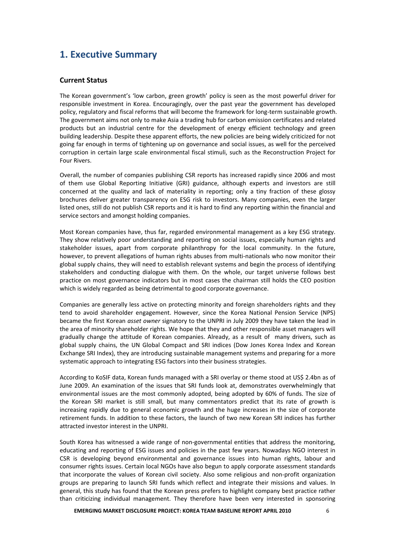# **1. Executive Summary**

### **Current Status**

The Korean government's 'low carbon, green growth' policy is seen as the most powerful driver for responsible investment in Korea. Encouragingly, over the past year the government has developed policy, regulatory and fiscal reforms that will become the framework for long-term sustainable growth. The government aims not only to make Asia a trading hub for carbon emission certificates and related products but an industrial centre for the development of energy efficient technology and green building leadership. Despite these apparent efforts, the new policies are being widely criticized for not going far enough in terms of tightening up on governance and social issues, as well for the perceived corruption in certain large scale environmental fiscal stimuli, such as the Reconstruction Project for Four Rivers.

Overall, the number of companies publishing CSR reports has increased rapidly since 2006 and most of them use Global Reporting Initiative (GRI) guidance, although experts and investors are still concerned at the quality and lack of materiality in reporting; only a tiny fraction of these glossy brochures deliver greater transparency on ESG risk to investors. Many companies, even the larger listed ones, still do not publish CSR reports and it is hard to find any reporting within the financial and service sectors and amongst holding companies.

Most Korean companies have, thus far, regarded environmental management as a key ESG strategy. They show relatively poor understanding and reporting on social issues, especially human rights and stakeholder issues, apart from corporate philanthropy for the local community. In the future, however, to prevent allegations of human rights abuses from multi-nationals who now monitor their global supply chains, they will need to establish relevant systems and begin the process of identifying stakeholders and conducting dialogue with them. On the whole, our target universe follows best practice on most governance indicators but in most cases the chairman still holds the CEO position which is widely regarded as being detrimental to good corporate governance.

Companies are generally less active on protecting minority and foreign shareholders rights and they tend to avoid shareholder engagement. However, since the Korea National Pension Service (NPS) became the first Korean *asset owner* signatory to the UNPRI in July 2009 they have taken the lead in the area of minority shareholder rights. We hope that they and other responsible asset managers will gradually change the attitude of Korean companies. Already, as a result of many drivers, such as global supply chains, the UN Global Compact and SRI indices (Dow Jones Korea Index and Korean Exchange SRI Index), they are introducing sustainable management systems and preparing for a more systematic approach to integrating ESG factors into their business strategies.

According to KoSIF data, Korean funds managed with a SRI overlay or theme stood at US\$ 2.4bn as of June 2009. An examination of the issues that SRI funds look at, demonstrates overwhelmingly that environmental issues are the most commonly adopted, being adopted by 60% of funds. The size of the Korean SRI market is still small, but many commentators predict that its rate of growth is increasing rapidly due to general economic growth and the huge increases in the size of corporate retirement funds. In addition to these factors, the launch of two new Korean SRI indices has further attracted investor interest in the UNPRI.

South Korea has witnessed a wide range of non‐governmental entities that address the monitoring, educating and reporting of ESG issues and policies in the past few years. Nowadays NGO interest in CSR is developing beyond environmental and governance issues into human rights, labour and consumer rights issues. Certain local NGOs have also begun to apply corporate assessment standards that incorporate the values of Korean civil society. Also some religious and non‐profit organization groups are preparing to launch SRI funds which reflect and integrate their missions and values. In general, this study has found that the Korean press prefers to highlight company best practice rather than criticizing individual management. They therefore have been very interested in sponsoring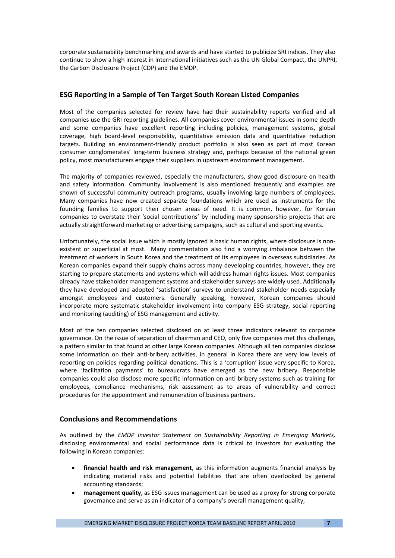corporate sustainability benchmarking and awards and have started to publicize SRI indices. They also continue to show a high interest in international initiatives such as the UN Global Compact, the UNPRI, the Carbon Disclosure Project (CDP) and the EMDP.

### **ESG Reporting in a Sample of Ten Target South Korean Listed Companies**

Most of the companies selected for review have had their sustainability reports verified and all companies use the GRI reporting guidelines. All companies cover environmental issues in some depth and some companies have excellent reporting including policies, management systems, global coverage, high board‐level responsibility, quantitative emission data and quantitative reduction targets. Building an environment‐friendly product portfolio is also seen as part of most Korean consumer conglomerates' long‐term business strategy and, perhaps because of the national green policy, most manufacturers engage their suppliers in upstream environment management.

The majority of companies reviewed, especially the manufacturers, show good disclosure on health and safety information. Community involvement is also mentioned frequently and examples are shown of successful community outreach programs, usually involving large numbers of employees. Many companies have now created separate foundations which are used as instruments for the founding families to support their chosen areas of need. It is common, however, for Korean companies to overstate their 'social contributions' by including many sponsorship projects that are actually straightforward marketing or advertising campaigns, such as cultural and sporting events.

Unfortunately, the social issue which is mostly ignored is basic human rights, where disclosure is non‐ existent or superficial at most. Many commentators also find a worrying imbalance between the treatment of workers in South Korea and the treatment of its employees in overseas subsidiaries. As Korean companies expand their supply chains across many developing countries, however, they are starting to prepare statements and systems which will address human rights issues. Most companies already have stakeholder management systems and stakeholder surveys are widely used. Additionally they have developed and adopted 'satisfaction' surveys to understand stakeholder needs especially amongst employees and customers. Generally speaking, however, Korean companies should incorporate more systematic stakeholder involvement into company ESG strategy, social reporting and monitoring (auditing) of ESG management and activity.

Most of the ten companies selected disclosed on at least three indicators relevant to corporate governance. On the issue of separation of chairman and CEO, only five companies met this challenge, a pattern similar to that found at other large Korean companies. Although all ten companies disclose some information on their anti-bribery activities, in general in Korea there are very low levels of reporting on policies regarding political donations. This is a 'corruption' issue very specific to Korea, where 'facilitation payments' to bureaucrats have emerged as the new bribery. Responsible companies could also disclose more specific information on anti-bribery systems such as training for employees, compliance mechanisms, risk assessment as to areas of vulnerability and correct procedures for the appointment and remuneration of business partners.

### **Conclusions and Recommendations**

As outlined by the *EMDP Investor Statement on Sustainability Reporting in Emerging Markets,* disclosing environmental and social performance data is critical to investors for evaluating the following in Korean companies:

- **financial health and risk management**, as this information augments financial analysis by indicating material risks and potential liabilities that are often overlooked by general accounting standards;
- **management quality**, as ESG issues management can be used as a proxy for strong corporate governance and serve as an indicator of a company's overall management quality;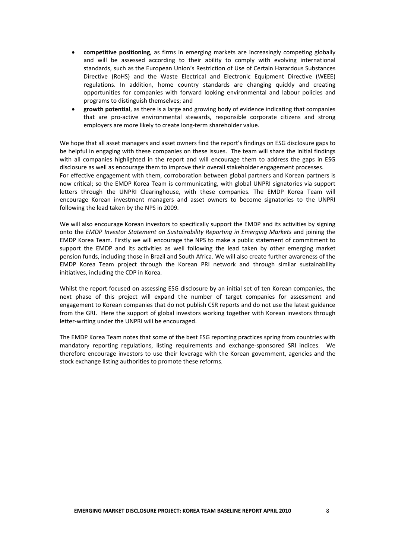- **competitive positioning**, as firms in emerging markets are increasingly competing globally and will be assessed according to their ability to comply with evolving international standards, such as the European Union's Restriction of Use of Certain Hazardous Substances Directive (RoHS) and the Waste Electrical and Electronic Equipment Directive (WEEE) regulations. In addition, home country standards are changing quickly and creating opportunities for companies with forward looking environmental and labour policies and programs to distinguish themselves; and
- **growth potential**, as there is a large and growing body of evidence indicating that companies that are pro‐active environmental stewards, responsible corporate citizens and strong employers are more likely to create long-term shareholder value.

We hope that all asset managers and asset owners find the report's findings on ESG disclosure gaps to be helpful in engaging with these companies on these issues. The team will share the initial findings with all companies highlighted in the report and will encourage them to address the gaps in ESG disclosure as well as encourage them to improve their overall stakeholder engagement processes. For effective engagement with them, corroboration between global partners and Korean partners is now critical; so the EMDP Korea Team is communicating, with global UNPRI signatories via support letters through the UNPRI Clearinghouse, with these companies. The EMDP Korea Team will encourage Korean investment managers and asset owners to become signatories to the UNPRI following the lead taken by the NPS in 2009.

We will also encourage Korean investors to specifically support the EMDP and its activities by signing onto the *EMDP Investor Statement on Sustainability Reporting in Emerging Markets* and joining the EMDP Korea Team. Firstly *w*e will encourage the NPS to make a public statement of commitment to support the EMDP and its activities as well following the lead taken by other emerging market pension funds, including those in Brazil and South Africa. We will also create further awareness of the EMDP Korea Team project through the Korean PRI network and through similar sustainability initiatives, including the CDP in Korea.

Whilst the report focused on assessing ESG disclosure by an initial set of ten Korean companies, the next phase of this project will expand the number of target companies for assessment and engagement to Korean companies that do not publish CSR reports and do not use the latest guidance from the GRI. Here the support of global investors working together with Korean investors through letter‐writing under the UNPRI will be encouraged.

The EMDP Korea Team notes that some of the best ESG reporting practices spring from countries with mandatory reporting regulations, listing requirements and exchange‐sponsored SRI indices. We therefore encourage investors to use their leverage with the Korean government, agencies and the stock exchange listing authorities to promote these reforms.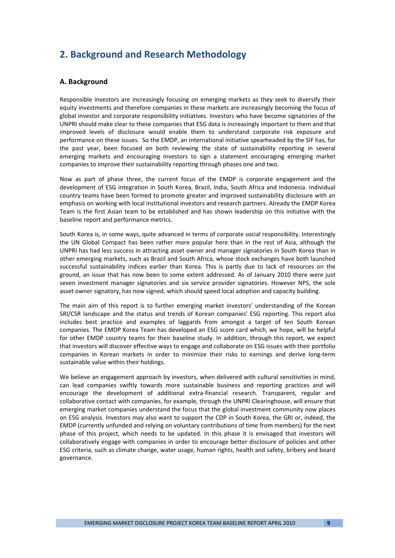# **2. Background and Research Methodology**

### **A. Background**

Responsible investors are increasingly focusing on emerging markets as they seek to diversify their equity investments and therefore companies in these markets are increasingly becoming the focus of global investor and corporate responsibility initiatives. Investors who have become signatories of the UNPRI should make clear to these companies that ESG data is increasingly important to them and that improved levels of disclosure would enable them to understand corporate risk exposure and performance on these issues. So the EMDP, an international initiative spearheaded by the SIF has, for the past year, been focused on both reviewing the state of sustainability reporting in several emerging markets and encouraging investors to sign a statement encouraging emerging market companies to improve their sustainability reporting through phases one and two.

Now as part of phase three, the current focus of the EMDP is corporate engagement and the development of ESG integration in South Korea, Brazil, India, South Africa and Indonesia. Individual country teams have been formed to promote greater and improved sustainability disclosure with an emphasis on working with local institutional investors and research partners. Already the EMDP Korea Team is the first Asian team to be established and has shown leadership on this initiative with the baseline report and performance metrics.

South Korea is, in some ways, quite advanced in terms of corporate social responsibility. Interestingly the UN Global Compact has been rather more popular here than in the rest of Asia, although the UNPRI has had less success in attracting asset owner and manager signatories in South Korea than in other emerging markets, such as Brazil and South Africa, whose stock exchanges have both launched successful sustainability indices earlier than Korea. This is partly due to lack of resources on the ground, an issue that has now been to some extent addressed. As of January 2010 there were just seven investment manager signatories and six service provider signatories. However NPS, the sole asset owner signatory, has now signed, which should speed local adoption and capacity building.

The main aim of this report is to further emerging market investors' understanding of the Korean SRI/CSR landscape and the status and trends of Korean companies' ESG reporting. This report also includes best practice and examples of laggards from amongst a target of ten South Korean companies. The EMDP Korea Team has developed an ESG score card which, we hope, will be helpful for other EMDP country teams for their baseline study. In addition, through this report, we expect that investors will discover effective ways to engage and collaborate on ESG issues with their portfolio companies in Korean markets in order to minimize their risks to earnings and derive long‐term sustainable value within their holdings.

We believe an engagement approach by investors, when delivered with cultural sensitivities in mind, can lead companies swiftly towards more sustainable business and reporting practices and will encourage the development of additional extra‐financial research. Transparent, regular and collaborative contact with companies, for example, through the UNPRI Clearinghouse, will ensure that emerging market companies understand the focus that the global investment community now places on ESG analysis. Investors may also want to support the CDP in South Korea, the GRI or, indeed, the EMDP (currently unfunded and relying on voluntary contributions of time from members) for the next phase of this project, which needs to be updated. In this phase it is envisaged that investors will collaboratively engage with companies in order to encourage better disclosure of policies and other ESG criteria, such as climate change, water usage, human rights, health and safety, bribery and board governance.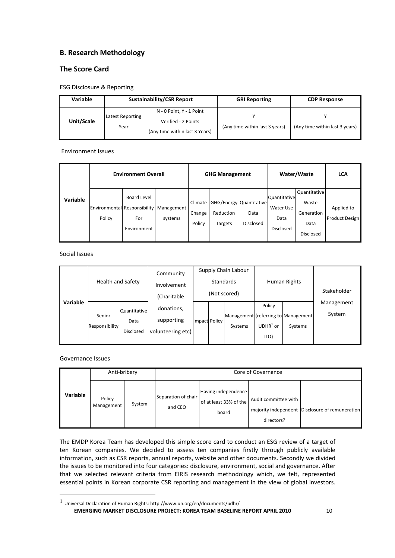# **B. Research Methodology**

# **The Score Card**

ESG Disclosure & Reporting

| Variable   |                          | <b>Sustainability/CSR Report</b>                                                  | <b>GRI Reporting</b>           | <b>CDP Response</b>            |  |
|------------|--------------------------|-----------------------------------------------------------------------------------|--------------------------------|--------------------------------|--|
| Unit/Scale | Latest Reporting<br>Year | N - 0 Point, Y - 1 Point<br>Verified - 2 Points<br>(Any time within last 3 Years) | (Any time within last 3 years) | (Any time within last 3 years) |  |

Environment Issues

|          | <b>Environment Overall</b> |                                          |                                                        | <b>GHG Management</b>       |                                                        |                   | Water/Waste                                    | <b>LCA</b>                                                      |                                     |
|----------|----------------------------|------------------------------------------|--------------------------------------------------------|-----------------------------|--------------------------------------------------------|-------------------|------------------------------------------------|-----------------------------------------------------------------|-------------------------------------|
| Variable | Policy                     | <b>Board Level</b><br>For<br>Environment | Environmental Responsibility   Management  <br>systems | Climate<br>Change<br>Policy | GHG/Energy Quantitative<br>Reduction<br><b>Targets</b> | Data<br>Disclosed | Quantitative<br>Water Use<br>Data<br>Disclosed | Quantitative<br>Waste<br>Generation<br>Data<br><b>Disclosed</b> | Applied to<br><b>Product Design</b> |

Social Issues

|          | <b>Health and Safety</b> |                                                 | Community<br>Involvement<br>(Charitable       |               | Supply Chain Labour<br><b>Standards</b><br>(Not scored) |                                                | Human Rights                 |         | Stakeholder          |
|----------|--------------------------|-------------------------------------------------|-----------------------------------------------|---------------|---------------------------------------------------------|------------------------------------------------|------------------------------|---------|----------------------|
| Variable | Senior<br>Responsibility | <b>Quantitative</b><br>Data<br><b>Disclosed</b> | donations,<br>supporting<br>volunteering etc) | Impact Policy |                                                         | Management (referring to Management<br>Systems | Policy<br>$UDHR1$ or<br>ILO) | Systems | Management<br>System |

Governance Issues

|          | Anti-bribery         |        | Core of Governance             |                                                        |                                    |                                                 |  |  |
|----------|----------------------|--------|--------------------------------|--------------------------------------------------------|------------------------------------|-------------------------------------------------|--|--|
| Variable | Policy<br>Management | System | Separation of chair<br>and CEO | Having independence<br>of at least 33% of the<br>board | Audit committee with<br>directors? | majority independent Disclosure of remuneration |  |  |

The EMDP Korea Team has developed this simple score card to conduct an ESG review of a target of ten Korean companies. We decided to assess ten companies firstly through publicly available information, such as CSR reports, annual reports, website and other documents. Secondly we divided the issues to be monitored into four categories: disclosure, environment, social and governance. After that we selected relevant criteria from EIRIS research methodology which, we felt, represented essential points in Korean corporate CSR reporting and management in the view of global investors.

**EMERGING MARKET DISCLOSURE PROJECT: KOREA TEAM BASELINE REPORT APRIL 2010** 10  $1$  Universal Declaration of Human Rights: http://www.un.org/en/documents/udhr/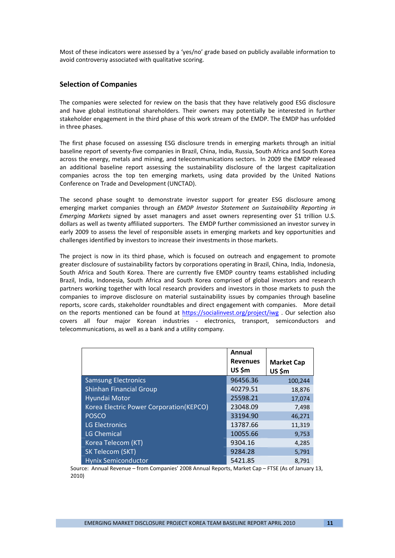Most of these indicators were assessed by a 'yes/no' grade based on publicly available information to avoid controversy associated with qualitative scoring.

### **Selection of Companies**

The companies were selected for review on the basis that they have relatively good ESG disclosure and have global institutional shareholders. Their owners may potentially be interested in further stakeholder engagement in the third phase of this work stream of the EMDP. The EMDP has unfolded in three phases.

The first phase focused on assessing ESG disclosure trends in emerging markets through an initial baseline report of seventy‐five companies in Brazil, China, India, Russia, South Africa and South Korea across the energy, metals and mining, and telecommunications sectors. In 2009 the EMDP released an additional baseline report assessing the sustainability disclosure of the largest capitalization companies across the top ten emerging markets, using data provided by the United Nations Conference on Trade and Development (UNCTAD).

The second phase sought to demonstrate investor support for greater ESG disclosure among emerging market companies through an *EMDP Investor Statement on Sustainability Reporting in Emerging Markets* signed by asset managers and asset owners representing over \$1 trillion U.S. dollars as well as twenty affiliated supporters. The EMDP further commissioned an investor survey in early 2009 to assess the level of responsible assets in emerging markets and key opportunities and challenges identified by investors to increase their investments in those markets.

The project is now in its third phase, which is focused on outreach and engagement to promote greater disclosure of sustainability factors by corporations operating in Brazil, China, India, Indonesia, South Africa and South Korea. There are currently five EMDP country teams established including Brazil, India, Indonesia, South Africa and South Korea comprised of global investors and research partners working together with local research providers and investors in those markets to push the companies to improve disclosure on material sustainability issues by companies through baseline reports, score cards, stakeholder roundtables and direct engagement with companies. More detail on the reports mentioned can be found at https://socialinvest.org/project/iwg . Our selection also covers all four major Korean industries ‐ electronics, transport, semiconductors and telecommunications, as well as a bank and a utility company.

|                                         | Annual<br><b>Revenues</b><br>US \$m | <b>Market Cap</b><br>US\$m |
|-----------------------------------------|-------------------------------------|----------------------------|
| <b>Samsung Electronics</b>              | 96456.36                            | 100,244                    |
| <b>Shinhan Financial Group</b>          | 40279.51                            | 18,876                     |
| Hyundai Motor                           | 25598.21                            | 17,074                     |
| Korea Electric Power Corporation(KEPCO) | 23048.09                            | 7,498                      |
| <b>POSCO</b>                            | 33194.90                            | 46,271                     |
| <b>LG Electronics</b>                   | 13787.66                            | 11,319                     |
| <b>LG Chemical</b>                      | 10055.66                            | 9,753                      |
| Korea Telecom (KT)                      | 9304.16                             | 4,285                      |
| SK Telecom (SKT)                        | 9284.28                             | 5,791                      |
| <b>Hynix Semiconductor</b>              | 5421.85                             | 8.791                      |

Source: Annual Revenue – from Companies' 2008 Annual Reports, Market Cap – FTSE (As of January 13, 2010)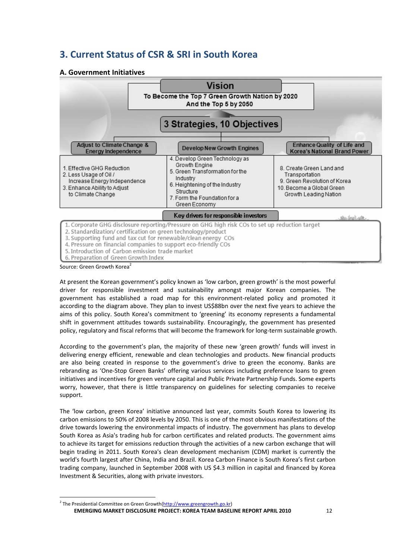# **3. Current Status of CSR & SRI in South Korea**

### **A. Government Initiatives**

|                                                                                                                                                                                                                                                                                                                                                                                               | To Become the Top 7 Green Growth Nation by 2020                                                                                                                                                |                                                             |  |  |  |  |  |  |
|-----------------------------------------------------------------------------------------------------------------------------------------------------------------------------------------------------------------------------------------------------------------------------------------------------------------------------------------------------------------------------------------------|------------------------------------------------------------------------------------------------------------------------------------------------------------------------------------------------|-------------------------------------------------------------|--|--|--|--|--|--|
| 3 Strategies, 10 Objectives                                                                                                                                                                                                                                                                                                                                                                   |                                                                                                                                                                                                |                                                             |  |  |  |  |  |  |
| Adjust to Climate Change &<br><b>Energy Independence</b>                                                                                                                                                                                                                                                                                                                                      | Develop New Growth Engines                                                                                                                                                                     | Enhance Quality of Life and<br>Korea's National Brand Power |  |  |  |  |  |  |
| 1. Effective GHG Reduction<br>2. Less Usage of Oil /<br>Increase Energy Independence<br>3. Enhance Ability to Adiust<br>to Climate Change                                                                                                                                                                                                                                                     | 4. Develop Green Technology as<br>Growth Engine<br>5. Green Transformation for the<br>Industry<br>6. Heightening of the Industry<br>Structure<br>7. Form the Foundation for a<br>Green Economy |                                                             |  |  |  |  |  |  |
|                                                                                                                                                                                                                                                                                                                                                                                               | Key drivers for responsible investors                                                                                                                                                          | sho beet aft.                                               |  |  |  |  |  |  |
| 1. Corporate GHG disclosure reporting/Pressure on GHG high risk COs to set up reduction target<br>2. Standardization/ certification on green technology/product<br>3. Supporting fund and tax cut for renewable/clean energy COs<br>4. Pressure on financial companies to support eco-friendly COs<br>5. Introduction of Carbon emission trade market<br>6. Preparation of Green Growth Index |                                                                                                                                                                                                |                                                             |  |  |  |  |  |  |

Source: Green Growth Korea

At present the Korean government's policy known as 'low carbon, green growth' is the most powerful driver for responsible investment and sustainability amongst major Korean companies. The government has established a road map for this environment-related policy and promoted it according to the diagram above. They plan to invest US\$88bn over the next five years to achieve the aims of this policy. South Korea's commitment to 'greening' its economy represents a fundamental shift in government attitudes towards sustainability. Encouragingly, the government has presented policy, regulatory and fiscal reforms that will become the framework for long‐term sustainable growth.

According to the government's plan, the majority of these new 'green growth' funds will invest in delivering energy efficient, renewable and clean technologies and products. New financial products are also being created in response to the government's drive to green the economy. Banks are rebranding as 'One‐Stop Green Banks' offering various services including preference loans to green initiatives and incentives for green venture capital and Public Private Partnership Funds. Some experts worry, however, that there is little transparency on guidelines for selecting companies to receive support.

The 'low carbon, green Korea' initiative announced last year, commits South Korea to lowering its carbon emissions to 50% of 2008 levels by 2050. This is one of the most obvious manifestations of the drive towards lowering the environmental impacts of industry. The government has plans to develop South Korea as Asia's trading hub for carbon certificates and related products. The government aims to achieve its target for emissions reduction through the activities of a new carbon exchange that will begin trading in 2011. South Korea's clean development mechanism (CDM) market is currently the world's fourth largest after China, India and Brazil. Korea Carbon Finance is South Korea's first carbon trading company, launched in September 2008 with US \$4.3 million in capital and financed by Korea Investment & Securities, along with private investors.

**EMERGING MARKET DISCLOSURE PROJECT: KOREA TEAM BASELINE REPORT APRIL 2010** 12 <sup>2</sup> The Presidential Committee on Green Growth(http://www.greengrowth.go.kr)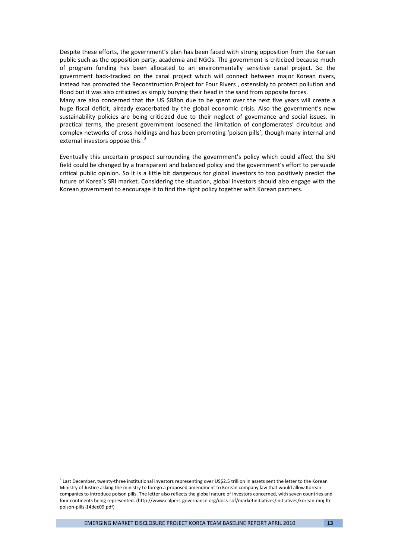Despite these efforts, the government's plan has been faced with strong opposition from the Korean public such as the opposition party, academia and NGOs. The government is criticized because much of program funding has been allocated to an environmentally sensitive canal project. So the government back‐tracked on the canal project which will connect between major Korean rivers, instead has promoted the Reconstruction Project for Four Rivers , ostensibly to protect pollution and flood but it was also criticized as simply burying their head in the sand from opposite forces.

Many are also concerned that the US \$88bn due to be spent over the next five years will create a huge fiscal deficit, already exacerbated by the global economic crisis. Also the government's new sustainability policies are being criticized due to their neglect of governance and social issues. In practical terms, the present government loosened the limitation of conglomerates' circuitous and complex networks of cross‐holdings and has been promoting 'poison pills', though many internal and external investors oppose this .<sup>3</sup>

Eventually this uncertain prospect surrounding the government's policy which could affect the SRI field could be changed by a transparent and balanced policy and the government's effort to persuade critical public opinion. So it is a little bit dangerous for global investors to too positively predict the future of Korea's SRI market. Considering the situation, global investors should also engage with the Korean government to encourage it to find the right policy together with Korean partners.

<sup>&</sup>lt;sup>3</sup> Last December, twenty-three institutional investors representing over US\$2.5 trillion in assets sent the letter to the Korean Ministry of Justice asking the ministry to forego a proposed amendment to Korean company law that would allow Korean companies to introduce poison pills. The letter also reflects the global nature of investors concerned, with seven countries and four continents being represented. (http://www.calpers‐governance.org/docs‐sof/marketinitiatives/initiatives/korean‐moj‐ltr‐ poison‐pills‐14dec09.pdf)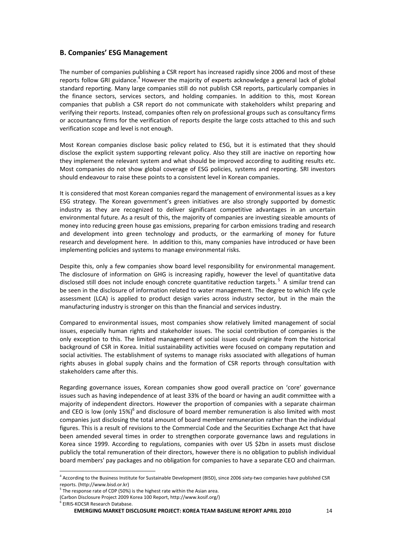### **B. Companies' ESG Management**

The number of companies publishing a CSR report has increased rapidly since 2006 and most of these reports follow GRI guidance.<sup>4</sup> However the majority of experts acknowledge a general lack of global standard reporting. Many large companies still do not publish CSR reports, particularly companies in the finance sectors, services sectors, and holding companies. In addition to this, most Korean companies that publish a CSR report do not communicate with stakeholders whilst preparing and verifying their reports. Instead, companies often rely on professional groups such as consultancy firms or accountancy firms for the verification of reports despite the large costs attached to this and such verification scope and level is not enough.

Most Korean companies disclose basic policy related to ESG, but it is estimated that they should disclose the explicit system supporting relevant policy. Also they still are inactive on reporting how they implement the relevant system and what should be improved according to auditing results etc. Most companies do not show global coverage of ESG policies, systems and reporting. SRI investors should endeavour to raise these points to a consistent level in Korean companies.

It is considered that most Korean companies regard the management of environmental issues as a key ESG strategy. The Korean government's green initiatives are also strongly supported by domestic industry as they are recognized to deliver significant competitive advantages in an uncertain environmental future. As a result of this, the majority of companies are investing sizeable amounts of money into reducing green house gas emissions, preparing for carbon emissions trading and research and development into green technology and products, or the earmarking of money for future research and development here. In addition to this, many companies have introduced or have been implementing policies and systems to manage environmental risks.

Despite this, only a few companies show board level responsibility for environmental management. The disclosure of information on GHG is increasing rapidly, however the level of quantitative data disclosed still does not include enough concrete quantitative reduction targets.<sup>5</sup> A similar trend can be seen in the disclosure of information related to water management. The degree to which life cycle assessment (LCA) is applied to product design varies across industry sector, but in the main the manufacturing industry is stronger on this than the financial and services industry.

Compared to environmental issues, most companies show relatively limited management of social issues, especially human rights and stakeholder issues. The social contribution of companies is the only exception to this. The limited management of social issues could originate from the historical background of CSR in Korea. Initial sustainability activities were focused on company reputation and social activities. The establishment of systems to manage risks associated with allegations of human rights abuses in global supply chains and the formation of CSR reports through consultation with stakeholders came after this.

Regarding governance issues, Korean companies show good overall practice on 'core' governance issues such as having independence of at least 33% of the board or having an audit committee with a majority of independent directors. However the proportion of companies with a separate chairman and CEO is low (only  $15\%$ <sup>6</sup> and disclosure of board member remuneration is also limited with most companies just disclosing the total amount of board member remuneration rather than the individual figures. This is a result of revisions to the Commercial Code and the Securities Exchange Act that have been amended several times in order to strengthen corporate governance laws and regulations in Korea since 1999. According to regulations, companies with over US \$2bn in assets must disclose publicly the total remuneration of their directors, however there is no obligation to publish individual board members' pay packages and no obligation for companies to have a separate CEO and chairman.

<sup>4</sup> According to the Business Institute for Sustainable Development (BISD), since 2006 sixty‐two companies have published CSR reports. (http://www.bisd.or.kr)<br><sup>5</sup> The response rate of CDP (50%) is the highest rate within the Asian area.

<sup>(</sup>Carbon Disclosure Project 2009 Korea 100 Report, http://www.kosif.org/)

EIRIS-KOCSR Research Database.

**EMERGING MARKET DISCLOSURE PROJECT: KOREA TEAM BASELINE REPORT APRIL 2010** 14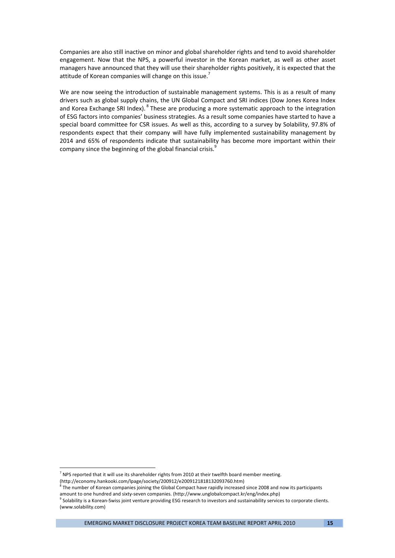Companies are also still inactive on minor and global shareholder rights and tend to avoid shareholder engagement. Now that the NPS, a powerful investor in the Korean market, as well as other asset managers have announced that they will use their shareholder rights positively, it is expected that the attitude of Korean companies will change on this issue.<sup>7</sup>

We are now seeing the introduction of sustainable management systems. This is as a result of many drivers such as global supply chains, the UN Global Compact and SRI indices (Dow Jones Korea Index and Korea Exchange SRI Index). <sup>8</sup> These are producing a more systematic approach to the integration of ESG factors into companies' business strategies. As a result some companies have started to have a special board committee for CSR issues. As well as this, according to a survey by Solability, 97.8% of respondents expect that their company will have fully implemented sustainability management by 2014 and 65% of respondents indicate that sustainability has become more important within their company since the beginning of the global financial crisis.<sup>9</sup>

 $<sup>7</sup>$  NPS reported that it will use its shareholder rights from 2010 at their twelfth board member meeting.</sup> (http://economy.hankooki.com/lpage/society/200912/e2009121818132093760.htm)

The number of Korean companies joining the Global Compact have rapidly increased since 2008 and now its participants

amount to one hundred and sixty‐seven companies. (http://www.unglobalcompact.kr/eng/index.php)

 $^9$  Solability is a Korean-Swiss joint venture providing ESG research to investors and sustainability services to corporate clients. (www.solability.com)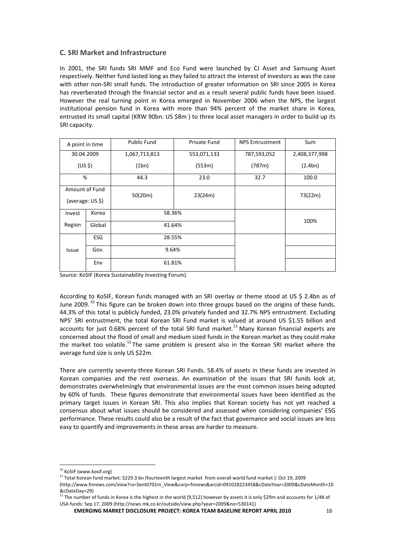### **C. SRI Market and Infrastructure**

In 2001, the SRI funds SRI MMF and Eco Fund were launched by CJ Asset and Samsung Asset respectively. Neither fund lasted long as they failed to attract the interest of investors as was the case with other non-SRI small funds. The introduction of greater information on SRI since 2005 in Korea has reverberated through the financial sector and as a result several public funds have been issued. However the real turning point in Korea emerged in November 2006 when the NPS, the largest institutional pension fund in Korea with more than 94% percent of the market share in Korea, entrusted its small capital (KRW 90bn: US \$8m ) to three local asset managers in order to build up its SRI capacity.

| A point in time    |                  | <b>Public Fund</b> | Private Fund | <b>NPS Entrustment</b> | Sum           |  |
|--------------------|------------------|--------------------|--------------|------------------------|---------------|--|
|                    | 30.04.2009       | 1,067,713,813      | 553,071,133  | 787,593,052            | 2,408,377,998 |  |
| (US <sub>5</sub> ) |                  | (1bn)              | (553m)       | (787m)                 | (2.4bn)       |  |
| %                  |                  | 44.3               | 23.0         | 32.7                   | 100.0         |  |
|                    | Amount of Fund   | 50(20m)            | 23(24m)      |                        | 73(22m)       |  |
|                    | (average: US \$) |                    |              |                        |               |  |
| Invest             | Korea            | 58.36%             |              |                        |               |  |
| Region             | Global           | 41.64%             |              |                        | 100%          |  |
|                    | <b>ESG</b>       | 28.55%             |              |                        |               |  |
| Issue              | Gov.             | 9.64%              |              |                        |               |  |
| Env                |                  | 61.81%             |              |                        |               |  |

Source: KoSIF (Korea Sustainability Investing Forum)

According to KoSIF, Korean funds managed with an SRI overlay or theme stood at US \$ 2.4bn as of June 2009.<sup>10</sup> This figure can be broken down into three groups based on the origins of these funds. 44.3% of this total is publicly funded, 23.0% privately funded and 32.7% NPS entrustment. Excluding NPS' SRI entrustment, the total Korean SRI Fund market is valued at around US \$1.55 billion and accounts for just 0.68% percent of the total SRI fund market.<sup>11</sup> Many Korean financial experts are concerned about the flood of small and medium sized funds in the Korean market as they could make the market too volatile.<sup>12</sup> The same problem is present also in the Korean SRI market where the average fund size is only US \$22m.

There are currently seventy-three Korean SRI Funds. 58.4% of assets in these funds are invested in Korean companies and the rest overseas. An examination of the issues that SRI funds look at, demonstrates overwhelmingly that environmental issues are the most common issues being adopted by 60% of funds. These figures demonstrate that environmental issues have been identified as the primary target issues in Korean SRI. This also implies that Korean society has not yet reached a consensus about what issues should be considered and assessed when considering companies' ESG performance. These results could also be a result of the fact that governance and social issues are less easy to quantify and improvements in these areas are harder to measure.

**EMERGING MARKET DISCLOSURE PROJECT: KOREA TEAM BASELINE REPORT APRIL 2010** 16

 <sup>10</sup> KoSIF (www.kosif.org)

<sup>11</sup> Total Korean fund market: \$229.3 bn (fourteenth largest market from overall world fund market ): Oct 19, 2009

<sup>(</sup>http://www.fnnews.com/view?ra=Sent0701m\_View&corp=fnnews&arcid=091028223458&cDateYear=2009&cDateMonth=10 &cDateDay=29)

<sup>&</sup>lt;sup>12</sup> The number of funds in Korea is the highest in the world (9,512) however by assets it is only \$29m and accounts for 1/48 of USA funds: Sep 17, 2009 (http://news.mk.co.kr/outside/view.php?year=2009&no=530141)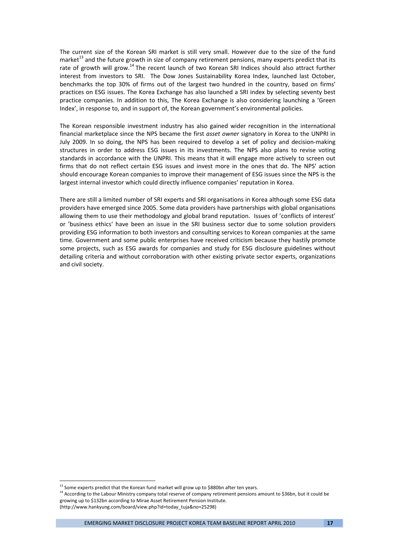The current size of the Korean SRI market is still very small. However due to the size of the fund market<sup>13</sup> and the future growth in size of company retirement pensions, many experts predict that its rate of growth will grow.<sup>14</sup> The recent launch of two Korean SRI Indices should also attract further interest from investors to SRI. The Dow Jones Sustainability Korea Index, launched last October, benchmarks the top 30% of firms out of the largest two hundred in the country, based on firms' practices on ESG issues. The Korea Exchange has also launched a SRI index by selecting seventy best practice companies. In addition to this, The Korea Exchange is also considering launching a 'Green Index', in response to, and in support of, the Korean government's environmental policies.

The Korean responsible investment industry has also gained wider recognition in the international financial marketplace since the NPS became the first *asset owner* signatory in Korea to the UNPRI in July 2009. In so doing, the NPS has been required to develop a set of policy and decision‐making structures in order to address ESG issues in its investments. The NPS also plans to revise voting standards in accordance with the UNPRI. This means that it will engage more actively to screen out firms that do not reflect certain ESG issues and invest more in the ones that do. The NPS' action should encourage Korean companies to improve their management of ESG issues since the NPS is the largest internal investor which could directly influence companies' reputation in Korea.

There are still a limited number of SRI experts and SRI organisations in Korea although some ESG data providers have emerged since 2005. Some data providers have partnerships with global organisations allowing them to use their methodology and global brand reputation. Issues of 'conflicts of interest' or 'business ethics' have been an issue in the SRI business sector due to some solution providers providing ESG information to both investors and consulting services to Korean companies at the same time. Government and some public enterprises have received criticism because they hastily promote some projects, such as ESG awards for companies and study for ESG disclosure guidelines without detailing criteria and without corroboration with other existing private sector experts, organizations and civil society.

 $^{13}$  Some experts predict that the Korean fund market will grow up to \$880bn after ten years.

<sup>&</sup>lt;sup>14</sup> According to the Labour Ministry company total reserve of company retirement pensions amount to \$36bn, but it could be growing up to \$132bn according to Mirae Asset Retirement Pension Institute. (http://www.hankyung.com/board/view.php?id=today\_tuja&no=25298)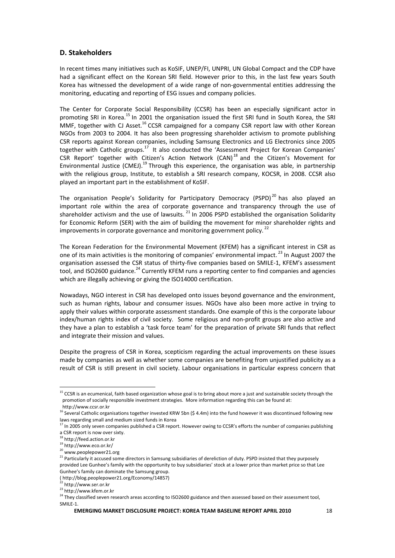### **D. Stakeholders**

In recent times many initiatives such as KoSIF, UNEP/FI, UNPRI, UN Global Compact and the CDP have had a significant effect on the Korean SRI field. However prior to this, in the last few years South Korea has witnessed the development of a wide range of non‐governmental entities addressing the monitoring, educating and reporting of ESG issues and company policies.

The Center for Corporate Social Responsibility (CCSR) has been an especially significant actor in promoting SRI in Korea.<sup>15</sup> In 2001 the organisation issued the first SRI fund in South Korea, the SRI MMF, together with CJ Asset.<sup>16</sup> CCSR campaigned for a company CSR report law with other Korean NGOs from 2003 to 2004. It has also been progressing shareholder activism to promote publishing CSR reports against Korean companies, including Samsung Electronics and LG Electronics since 2005 together with Catholic groups.<sup>17</sup> It also conducted the 'Assessment Project for Korean Companies' CSR Report' together with Citizen's Action Network (CAN) <sup>18</sup> and the Citizen's Movement for Environmental Justice (CMEJ).<sup>19</sup> Through this experience, the organisation was able, in partnership with the religious group, Institute, to establish a SRI research company, KOCSR, in 2008. CCSR also played an important part in the establishment of KoSIF.

The organisation People's Solidarity for Participatory Democracy (PSPD)<sup>20</sup> has also played an important role within the area of corporate governance and transparency through the use of shareholder activism and the use of lawsuits.<sup>21</sup> In 2006 PSPD established the organisation Solidarity for Economic Reform (SER) with the aim of building the movement for minor shareholder rights and improvements in corporate governance and monitoring government policy.<sup>22</sup>

The Korean Federation for the Environmental Movement (KFEM) has a significant interest in CSR as one of its main activities is the monitoring of companies' environmental impact.<sup>23</sup> In August 2007 the organisation assessed the CSR status of thirty-five companies based on SMILE-1, KFEM's assessment tool, and ISO2600 guidance.<sup>24</sup> Currently KFEM runs a reporting center to find companies and agencies which are illegally achieving or giving the ISO14000 certification.

Nowadays, NGO interest in CSR has developed onto issues beyond governance and the environment, such as human rights, labour and consumer issues. NGOs have also been more active in trying to apply their values within corporate assessment standards. One example of this is the corporate labour index/human rights index of civil society. Some religious and non-profit groups are also active and they have a plan to establish a 'task force team' for the preparation of private SRI funds that reflect and integrate their mission and values.

Despite the progress of CSR in Korea, scepticism regarding the actual improvements on these issues made by companies as well as whether some companies are benefiting from unjustified publicity as a result of CSR is still present in civil society. Labour organisations in particular express concern that

<sup>&</sup>lt;sup>15</sup> CCSR is an ecumenical, faith based organization whose goal is to bring about more a just and sustainable society through the promotion of socially responsible investment strategies. More information regarding this can be found at: http://www.ccsr.or.kr

<sup>&</sup>lt;sup>16</sup> Several Catholic organisations together invested KRW 5bn (\$ 4.4m) into the fund however it was discontinued following new laws regarding small and medium sized funds in Korea

<sup>&</sup>lt;sup>17</sup> In 2005 only seven companies published a CSR report. However owing to CCSR's efforts the number of companies publishing <sup>a</sup> CSR report is now over sixty. <sup>18</sup> http://feed.action.or.kr

<sup>19</sup> http://www.eco.or.kr/

<sup>20</sup> www.peoplepower21.org

<sup>&</sup>lt;sup>21</sup> Particularly it accused some directors in Samsung subsidiaries of dereliction of duty. PSPD insisted that they purposely provided Lee Gunhee's family with the opportunity to buy subsidiaries' stock at a lower price than market price so that Lee Gunhee's family can dominate the Samsung group.

<sup>(</sup> http://blog.peoplepower21.org/Economy/14857)

 $23$  http://www.kfem.or.kr

<sup>&</sup>lt;sup>24</sup> They classified seven research areas according to ISO2600 guidance and then assessed based on their assessment tool, SMILE‐1.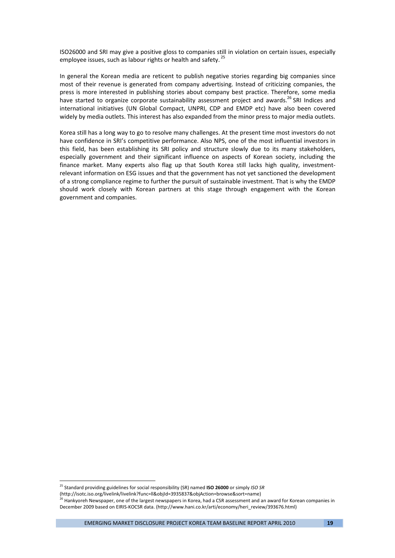ISO26000 and SRI may give a positive gloss to companies still in violation on certain issues, especially employee issues, such as labour rights or health and safety.<sup>25</sup>

In general the Korean media are reticent to publish negative stories regarding big companies since most of their revenue is generated from company advertising. Instead of criticizing companies, the press is more interested in publishing stories about company best practice. Therefore, some media have started to organize corporate sustainability assessment project and awards.<sup>26</sup> SRI Indices and international initiatives (UN Global Compact, UNPRI, CDP and EMDP etc) have also been covered widely by media outlets. This interest has also expanded from the minor press to major media outlets.

Korea still has a long way to go to resolve many challenges. At the present time most investors do not have confidence in SRI's competitive performance. Also NPS, one of the most influential investors in this field, has been establishing its SRI policy and structure slowly due to its many stakeholders, especially government and their significant influence on aspects of Korean society, including the finance market. Many experts also flag up that South Korea still lacks high quality, investmentrelevant information on ESG issues and that the government has not yet sanctioned the development of a strong compliance regime to further the pursuit of sustainable investment. That is why the EMDP should work closely with Korean partners at this stage through engagement with the Korean government and companies.

<sup>25</sup> Standard providing guidelines for social responsibility (SR) named **ISO 26000** or simply *ISO SR*

<sup>(</sup>http://isotc.iso.org/livelink/livelink?func=ll&objId=3935837&objAction=browse&sort=name)

<sup>&</sup>lt;sup>i</sup> Hankyoreh Newspaper, one of the largest newspapers in Korea, had a CSR assessment and an award for Korean companies in December 2009 based on EIRIS‐KOCSR data. (http://www.hani.co.kr/arti/economy/heri\_review/393676.html)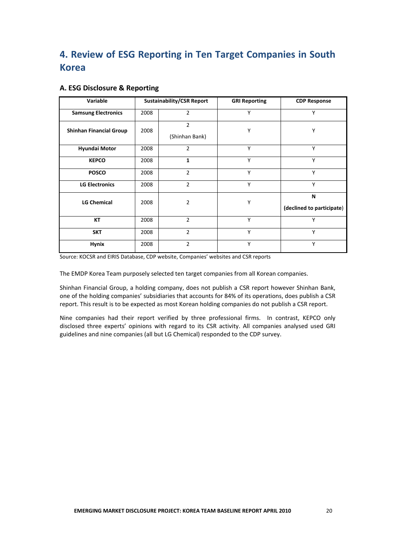# **4. Review of ESG Reporting in Ten Target Companies in South Korea**

### **A. ESG Disclosure & Reporting**

| Variable                       |      | <b>Sustainability/CSR Report</b> | <b>GRI Reporting</b> | <b>CDP Response</b>            |
|--------------------------------|------|----------------------------------|----------------------|--------------------------------|
| <b>Samsung Electronics</b>     | 2008 | $\overline{2}$                   | Y                    | Y                              |
| <b>Shinhan Financial Group</b> | 2008 | $\overline{2}$<br>(Shinhan Bank) | Υ                    | Y                              |
| <b>Hyundai Motor</b>           | 2008 | $\overline{2}$                   | Y                    | Y                              |
| <b>KEPCO</b>                   | 2008 | $\mathbf{1}$                     | Y                    | Y                              |
| <b>POSCO</b>                   | 2008 | $\overline{2}$                   | Y                    | Y                              |
| <b>LG Electronics</b>          | 2008 | $\overline{2}$                   | Y                    | Y                              |
| <b>LG Chemical</b>             | 2008 | $\overline{2}$                   | Υ                    | N<br>(declined to participate) |
| КT                             | 2008 | $\overline{2}$                   | Y                    | Υ                              |
| <b>SKT</b>                     | 2008 | $\overline{2}$                   | Y                    | Y                              |
| <b>Hynix</b>                   | 2008 | $\mathcal{P}$                    | Y                    | Y                              |

Source: KOCSR and EIRIS Database, CDP website, Companies' websites and CSR reports

The EMDP Korea Team purposely selected ten target companies from all Korean companies.

Shinhan Financial Group, a holding company, does not publish a CSR report however Shinhan Bank, one of the holding companies' subsidiaries that accounts for 84% of its operations, does publish a CSR report. This result is to be expected as most Korean holding companies do not publish a CSR report.

Nine companies had their report verified by three professional firms. In contrast, KEPCO only disclosed three experts' opinions with regard to its CSR activity. All companies analysed used GRI guidelines and nine companies (all but LG Chemical) responded to the CDP survey.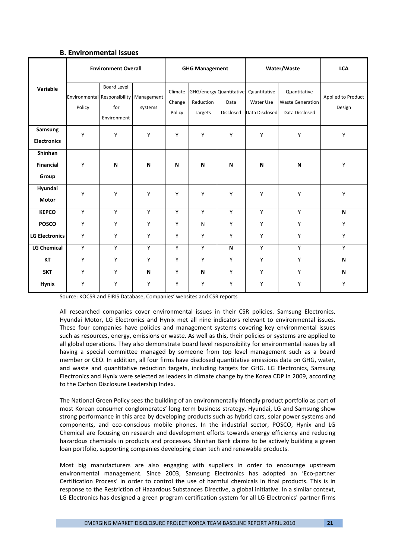### **B. Environmental Issues**

|                                      | <b>Environment Overall</b> | <b>GHG Management</b>                                                    |                       |                             | Water/Waste                                     | <b>LCA</b>        |                                             |                                                           |                              |
|--------------------------------------|----------------------------|--------------------------------------------------------------------------|-----------------------|-----------------------------|-------------------------------------------------|-------------------|---------------------------------------------|-----------------------------------------------------------|------------------------------|
| Variable                             | Policy                     | <b>Board Level</b><br>Environmental Responsibility<br>for<br>Environment | Management<br>systems | Climate<br>Change<br>Policy | GHG/energy Quantitative<br>Reduction<br>Targets | Data<br>Disclosed | Quantitative<br>Water Use<br>Data Disclosed | Quantitative<br><b>Waste Generation</b><br>Data Disclosed | Applied to Product<br>Design |
| Samsung<br><b>Electronics</b>        | Y                          | Υ                                                                        | Y                     | Υ                           | Y                                               | Y                 | Y                                           | Y                                                         | Υ                            |
| Shinhan<br><b>Financial</b><br>Group | Y                          | N                                                                        | N                     | N                           | N                                               | N                 | N                                           | N                                                         | Υ                            |
| Hyundai<br><b>Motor</b>              | Y                          | Y                                                                        | Y                     | Υ                           | Y                                               | Y                 | Y                                           | Y                                                         | Υ                            |
| <b>KEPCO</b>                         | Y                          | Y                                                                        | Y                     | Y                           | Y                                               | Y                 | Y                                           | Y                                                         | N                            |
| <b>POSCO</b>                         | Y                          | Υ                                                                        | Y                     | Y                           | N                                               | Y                 | Y                                           | Y                                                         | Y                            |
| <b>LG Electronics</b>                | Y                          | Υ                                                                        | Y                     | Y                           | Y                                               | Y                 | Y                                           | Y                                                         | Υ                            |
| <b>LG Chemical</b>                   | Y                          | Y                                                                        | Y                     | Y                           | Y                                               | N                 | Y                                           | Y                                                         | Y                            |
| <b>KT</b>                            | Y                          | Y                                                                        | Y                     | Y                           | Y                                               | Y                 | Y                                           | Y                                                         | N                            |
| <b>SKT</b>                           | Y                          | Y                                                                        | N                     | Y                           | N                                               | Y                 | Y                                           | Y                                                         | N                            |
| <b>Hynix</b>                         | Y                          | Y                                                                        | Y                     | Y                           | Υ                                               | Y                 | Y                                           | Y                                                         | Y                            |

Source: KOCSR and EIRIS Database, Companies' websites and CSR reports

All researched companies cover environmental issues in their CSR policies. Samsung Electronics, Hyundai Motor, LG Electronics and Hynix met all nine indicators relevant to environmental issues. These four companies have policies and management systems covering key environmental issues such as resources, energy, emissions or waste. As well as this, their policies or systems are applied to all global operations. They also demonstrate board level responsibility for environmental issues by all having a special committee managed by someone from top level management such as a board member or CEO. In addition, all four firms have disclosed quantitative emissions data on GHG, water, and waste and quantitative reduction targets, including targets for GHG. LG Electronics, Samsung Electronics and Hynix were selected as leaders in climate change by the Korea CDP in 2009, according to the Carbon Disclosure Leadership Index.

The National Green Policy sees the building of an environmentally‐friendly product portfolio as part of most Korean consumer conglomerates' long-term business strategy. Hyundai, LG and Samsung show strong performance in this area by developing products such as hybrid cars, solar power systems and components, and eco-conscious mobile phones. In the industrial sector, POSCO, Hynix and LG Chemical are focusing on research and development efforts towards energy efficiency and reducing hazardous chemicals in products and processes. Shinhan Bank claims to be actively building a green loan portfolio, supporting companies developing clean tech and renewable products.

Most big manufacturers are also engaging with suppliers in order to encourage upstream environmental management. Since 2003, Samsung Electronics has adopted an 'Eco‐partner Certification Process' in order to control the use of harmful chemicals in final products. This is in response to the Restriction of Hazardous Substances Directive, a global initiative. In a similar context, LG Electronics has designed a green program certification system for all LG Electronics' partner firms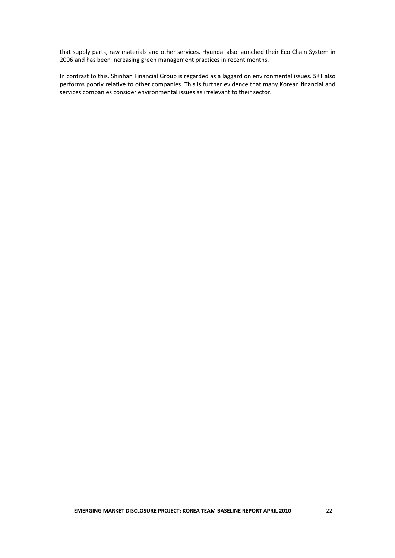that supply parts, raw materials and other services. Hyundai also launched their Eco Chain System in 2006 and has been increasing green management practices in recent months.

In contrast to this, Shinhan Financial Group is regarded as a laggard on environmental issues. SKT also performs poorly relative to other companies. This is further evidence that many Korean financial and services companies consider environmental issues as irrelevant to their sector.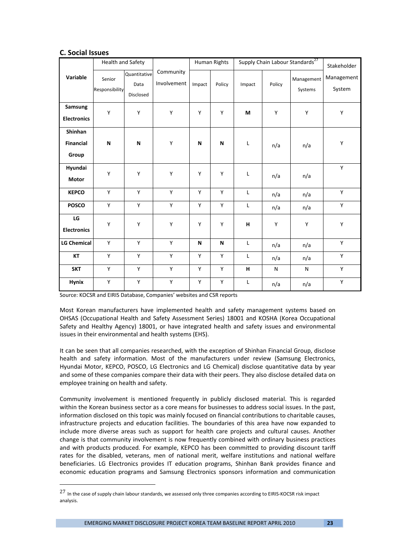### **C. Social Issues**

|                                      | Health and Safety        |                                   |                          |        | Human Rights |             |        | Supply Chain Labour Standards <sup>27</sup> | Stakeholder          |
|--------------------------------------|--------------------------|-----------------------------------|--------------------------|--------|--------------|-------------|--------|---------------------------------------------|----------------------|
| Variable                             | Senior<br>Responsibility | Quantitative<br>Data<br>Disclosed | Community<br>Involvement | Impact | Policy       | Impact      | Policy | Management<br>Systems                       | Management<br>System |
| Samsung<br><b>Electronics</b>        | Y                        | Y                                 | Υ                        | Y      | Υ            | M           | Y      | Υ                                           | Υ                    |
| Shinhan<br><b>Financial</b><br>Group | N                        | N                                 | Υ                        | N      | N            | L           | n/a    | n/a                                         | Υ                    |
| Hyundai<br><b>Motor</b>              | Y                        | Y                                 | Y                        | Y      | Y            | L           | n/a    | n/a                                         | Y                    |
| <b>KEPCO</b>                         | Y                        | Y                                 | Y                        | Y      | Y            | L           | n/a    | n/a                                         | Y                    |
| <b>POSCO</b>                         | Y                        | Y                                 | Y                        | Y      | Υ            | L           | n/a    | n/a                                         | Υ                    |
| ${\sf LG}$<br><b>Electronics</b>     | Y                        | Y                                 | Y                        | Y      | Υ            | н           | Y      | Y                                           | Υ                    |
| <b>LG Chemical</b>                   | Y                        | Y                                 | Y                        | N      | N            | $\mathsf L$ | n/a    | n/a                                         | Y                    |
| KT                                   | Y                        | Y                                 | Y                        | Υ      | Y            | L           | n/a    | n/a                                         | Υ                    |
| <b>SKT</b>                           | Y                        | Y                                 | Y                        | Y      | Y            | $\mathbf H$ | N      | N                                           | Y                    |
| Hynix                                | Υ                        | Υ                                 | Υ                        | Υ      | Υ            | L           | n/a    | n/a                                         | Υ                    |

Source: KOCSR and EIRIS Database, Companies' websites and CSR reports

Most Korean manufacturers have implemented health and safety management systems based on OHSAS (Occupational Health and Safety Assessment Series) 18001 and KOSHA (Korea Occupational Safety and Healthy Agency) 18001, or have integrated health and safety issues and environmental issues in their environmental and health systems (EHS).

It can be seen that all companies researched, with the exception of Shinhan Financial Group, disclose health and safety information. Most of the manufacturers under review (Samsung Electronics, Hyundai Motor, KEPCO, POSCO, LG Electronics and LG Chemical) disclose quantitative data by year and some of these companies compare their data with their peers. They also disclose detailed data on employee training on health and safety.

Community involvement is mentioned frequently in publicly disclosed material. This is regarded within the Korean business sector as a core means for businesses to address social issues. In the past, information disclosed on this topic was mainly focused on financial contributions to charitable causes, infrastructure projects and education facilities. The boundaries of this area have now expanded to include more diverse areas such as support for health care projects and cultural causes. Another change is that community involvement is now frequently combined with ordinary business practices and with products produced. For example, KEPCO has been committed to providing discount tariff rates for the disabled, veterans, men of national merit, welfare institutions and national welfare beneficiaries. LG Electronics provides IT education programs, Shinhan Bank provides finance and economic education programs and Samsung Electronics sponsors information and communication

<sup>27</sup> In the case of supply chain labour standards, we assessed only three companies according to EIRIS-KOCSR risk impact analysis.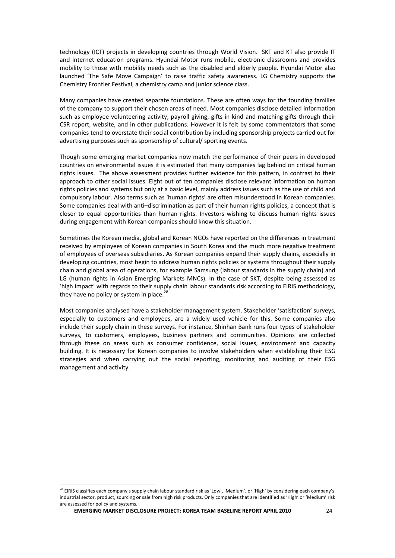technology (ICT) projects in developing countries through World Vision. SKT and KT also provide IT and internet education programs. Hyundai Motor runs mobile, electronic classrooms and provides mobility to those with mobility needs such as the disabled and elderly people. Hyundai Motor also launched 'The Safe Move Campaign' to raise traffic safety awareness. LG Chemistry supports the Chemistry Frontier Festival, a chemistry camp and junior science class.

Many companies have created separate foundations. These are often ways for the founding families of the company to support their chosen areas of need. Most companies disclose detailed information such as employee volunteering activity, payroll giving, gifts in kind and matching gifts through their CSR report, website, and in other publications. However it is felt by some commentators that some companies tend to overstate their social contribution by including sponsorship projects carried out for advertising purposes such as sponsorship of cultural/ sporting events.

Though some emerging market companies now match the performance of their peers in developed countries on environmental issues it is estimated that many companies lag behind on critical human rights issues. The above assessment provides further evidence for this pattern, in contrast to their approach to other social issues. Eight out of ten companies disclose relevant information on human rights policies and systems but only at a basic level, mainly address issues such as the use of child and compulsory labour. Also terms such as 'human rights' are often misunderstood in Korean companies. Some companies deal with anti–discrimination as part of their human rights policies, a concept that is closer to equal opportunities than human rights. Investors wishing to discuss human rights issues during engagement with Korean companies should know this situation.

Sometimes the Korean media, global and Korean NGOs have reported on the differences in treatment received by employees of Korean companies in South Korea and the much more negative treatment of employees of overseas subsidiaries. As Korean companies expand their supply chains, especially in developing countries, most begin to address human rights policies or systems throughout their supply chain and global area of operations, for example Samsung (labour standards in the supply chain) and LG (human rights in Asian Emerging Markets MNCs). In the case of SKT, despite being assessed as 'high impact' with regards to their supply chain labour standards risk according to EIRIS methodology, they have no policy or system in place.<sup>2</sup>

Most companies analysed have a stakeholder management system. Stakeholder 'satisfaction' surveys, especially to customers and employees, are a widely used vehicle for this. Some companies also include their supply chain in these surveys. For instance, Shinhan Bank runs four types of stakeholder surveys, to customers, employees, business partners and communities. Opinions are collected through these on areas such as consumer confidence, social issues, environment and capacity building. It is necessary for Korean companies to involve stakeholders when establishing their ESG strategies and when carrying out the social reporting, monitoring and auditing of their ESG management and activity.

 $^{28}$  EIRIS classifies each company's supply chain labour standard risk as 'Low', 'Medium', or 'High' by considering each company's industrial sector, product, sourcing or sale from high risk products. Only companies that are identified as 'High' or 'Medium' risk are assessed for policy and systems.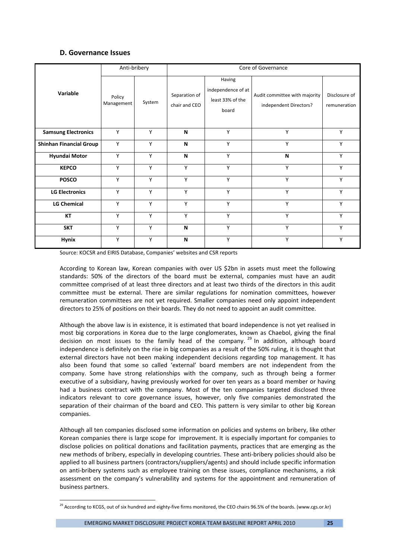### **D. Governance Issues**

|                                | Anti-bribery         |        | Core of Governance             |                                                           |                                                         |                               |  |  |
|--------------------------------|----------------------|--------|--------------------------------|-----------------------------------------------------------|---------------------------------------------------------|-------------------------------|--|--|
| Variable                       | Policy<br>Management | System | Separation of<br>chair and CEO | Having<br>independence of at<br>least 33% of the<br>board | Audit committee with majority<br>independent Directors? | Disclosure of<br>remuneration |  |  |
| <b>Samsung Electronics</b>     | Y                    | Y      | N                              | Y                                                         | Y                                                       | Y                             |  |  |
| <b>Shinhan Financial Group</b> | Y                    | Y      | N                              | Y                                                         | Y                                                       | Y                             |  |  |
| <b>Hyundai Motor</b>           | Υ                    | Y      | N                              | Y                                                         | N                                                       | Υ                             |  |  |
| <b>KEPCO</b>                   | Y                    | Y      | Y                              | Y                                                         | Y                                                       | Υ                             |  |  |
| <b>POSCO</b>                   | Υ                    | Y      | Y                              | Y                                                         | Y                                                       | Y                             |  |  |
| <b>LG Electronics</b>          | Y                    | Y      | Y                              | Y                                                         | Y                                                       | Y                             |  |  |
| <b>LG Chemical</b>             | Υ                    | Υ      | Y                              | Υ                                                         | Y                                                       | Y                             |  |  |
| KT                             | Υ                    | Y      | Y                              | Υ                                                         | Υ                                                       | Υ                             |  |  |
| <b>SKT</b>                     | Υ                    | Y      | N                              | Y                                                         | Y                                                       | Υ                             |  |  |
| <b>Hynix</b>                   | Y                    | Y      | N                              | Y                                                         | Y                                                       | Υ                             |  |  |

Source: KOCSR and EIRIS Database, Companies' websites and CSR reports

According to Korean law, Korean companies with over US \$2bn in assets must meet the following standards: 50% of the directors of the board must be external, companies must have an audit committee comprised of at least three directors and at least two thirds of the directors in this audit committee must be external. There are similar regulations for nomination committees, however remuneration committees are not yet required. Smaller companies need only appoint independent directors to 25% of positions on their boards. They do not need to appoint an audit committee.

Although the above law is in existence, it is estimated that board independence is not yet realised in most big corporations in Korea due to the large conglomerates, known as Chaebol, giving the final decision on most issues to the family head of the company.  $29$  In addition, although board independence is definitely on the rise in big companies as a result of the 50% ruling, it is thought that external directors have not been making independent decisions regarding top management. It has also been found that some so called 'external' board members are not independent from the company. Some have strong relationships with the company, such as through being a former executive of a subsidiary, having previously worked for over ten years as a board member or having had a business contract with the company. Most of the ten companies targeted disclosed three indicators relevant to core governance issues, however, only five companies demonstrated the separation of their chairman of the board and CEO. This pattern is very similar to other big Korean companies.

Although all ten companies disclosed some information on policies and systems on bribery, like other Korean companies there is large scope for improvement. It is especially important for companies to disclose policies on political donations and facilitation payments, practices that are emerging as the new methods of bribery, especially in developing countries. These anti‐bribery policies should also be applied to all business partners (contractors/suppliers/agents) and should include specific information on anti‐bribery systems such as employee training on these issues, compliance mechanisms, a risk assessment on the company's vulnerability and systems for the appointment and remuneration of business partners.

<sup>&</sup>lt;sup>29</sup> According to KCGS, out of six hundred and eighty-five firms monitored, the CEO chairs 96.5% of the boards. (www.cgs.or.kr)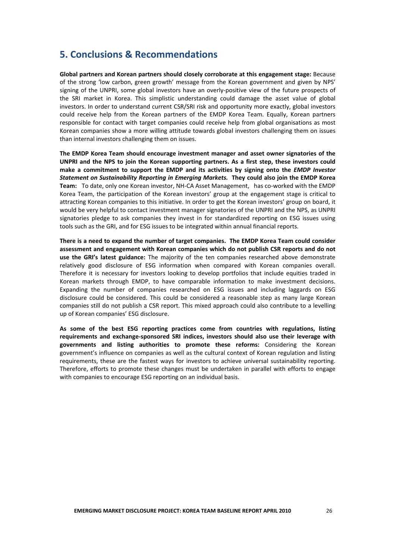# **5. Conclusions & Recommendations**

**Global partners and Korean partners should closely corroborate at this engagement stage:** Because of the strong 'low carbon, green growth' message from the Korean government and given by NPS' signing of the UNPRI, some global investors have an overly-positive view of the future prospects of the SRI market in Korea. This simplistic understanding could damage the asset value of global investors. In order to understand current CSR/SRI risk and opportunity more exactly, global investors could receive help from the Korean partners of the EMDP Korea Team. Equally, Korean partners responsible for contact with target companies could receive help from global organisations as most Korean companies show a more willing attitude towards global investors challenging them on issues than internal investors challenging them on issues.

**The EMDP Korea Team should encourage investment manager and asset owner signatories of the UNPRI and the NPS to join the Korean supporting partners. As a first step, these investors could make a commitment to support the EMDP and its activities by signing onto the** *EMDP Investor Statement on Sustainability Reporting in Emerging Markets.* **They could also join the EMDP Korea** Team: To date, only one Korean investor, NH-CA Asset Management, has co-worked with the EMDP Korea Team, the participation of the Korean investors' group at the engagement stage is critical to attracting Korean companies to this initiative. In order to get the Korean investors' group on board, it would be very helpful to contact investment manager signatories of the UNPRI and the NPS, as UNPRI signatories pledge to ask companies they invest in for standardized reporting on ESG issues using tools such as the GRI, and for ESG issues to be integrated within annual financial reports.

**There is a need to expand the number of target companies. The EMDP Korea Team could consider assessment and engagement with Korean companies which do not publish CSR reports and do not use the GRI's latest guidance:** The majority of the ten companies researched above demonstrate relatively good disclosure of ESG information when compared with Korean companies overall. Therefore it is necessary for investors looking to develop portfolios that include equities traded in Korean markets through EMDP, to have comparable information to make investment decisions. Expanding the number of companies researched on ESG issues and including laggards on ESG disclosure could be considered. This could be considered a reasonable step as many large Korean companies still do not publish a CSR report. This mixed approach could also contribute to a levelling up of Korean companies' ESG disclosure.

**As some of the best ESG reporting practices come from countries with regulations, listing requirements and exchange‐sponsored SRI indices, investors should also use their leverage with governments and listing authorities to promote these reforms:** Considering the Korean government's influence on companies as well as the cultural context of Korean regulation and listing requirements, these are the fastest ways for investors to achieve universal sustainability reporting. Therefore, efforts to promote these changes must be undertaken in parallel with efforts to engage with companies to encourage ESG reporting on an individual basis.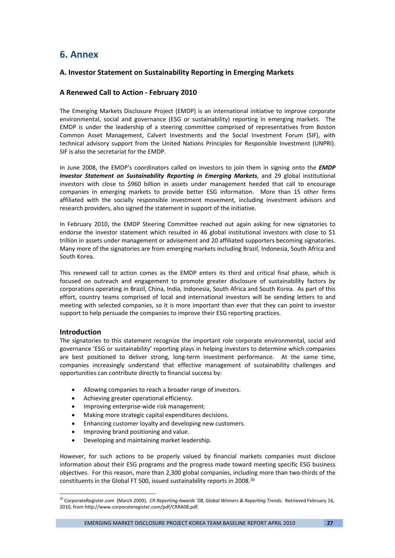# **6. Annex**

# **A. Investor Statement on Sustainability Reporting in Emerging Markets**

# **A Renewed Call to Action ‐ February 2010**

The Emerging Markets Disclosure Project (EMDP) is an international initiative to improve corporate environmental, social and governance (ESG or sustainability) reporting in emerging markets. The EMDP is under the leadership of a steering committee comprised of representatives from Boston Common Asset Management, Calvert Investments and the Social Investment Forum (SIF), with technical advisory support from the United Nations Principles for Responsible Investment (UNPRI). SIF is also the secretariat for the EMDP.

In June 2008, the EMDP's coordinators called on investors to join them in signing onto the *EMDP Investor Statement on Sustainability Reporting in Emerging Markets*, and 29 global institutional investors with close to \$960 billion in assets under management heeded that call to encourage companies in emerging markets to provide better ESG information. More than 15 other firms affiliated with the socially responsible investment movement, including investment advisors and research providers, also signed the statement in support of the initiative.

In February 2010, the EMDP Steering Committee reached out again asking for new signatories to endorse the investor statement which resulted in 46 global institutional investors with close to \$1 trillion in assets under management or advisement and 20 affiliated supporters becoming signatories. Many more of the signatories are from emerging markets including Brazil, Indonesia, South Africa and South Korea.

This renewed call to action comes as the EMDP enters its third and critical final phase, which is focused on outreach and engagement to promote greater disclosure of sustainability factors by corporations operating in Brazil, China, India, Indonesia, South Africa and South Korea. As part of this effort, country teams comprised of local and international investors will be sending letters to and meeting with selected companies, so it is more important than ever that they can point to investor support to help persuade the companies to improve their ESG reporting practices.

### **Introduction**

The signatories to this statement recognize the important role corporate environmental, social and governance 'ESG or sustainability' reporting plays in helping investors to determine which companies are best positioned to deliver strong, long-term investment performance. At the same time, companies increasingly understand that effective management of sustainability challenges and opportunities can contribute directly to financial success by:

- Allowing companies to reach a broader range of investors.
- Achieving greater operational efficiency.
- Improving enterprise‐wide risk management.
- Making more strategic capital expenditures decisions.
- Enhancing customer loyalty and developing new customers.
- Improving brand positioning and value.

• Developing and maintaining market leadership.

However, for such actions to be properly valued by financial markets companies must disclose information about their ESG programs and the progress made toward meeting specific ESG business objectives. For this reason, more than 2,300 global companies, including more than two‐thirds of the constituents in the Global FT 500, issued sustainability reports in 2008.30

EMERGING MARKET DISCLOSURE PROJECT KOREA TEAM BASELINE REPORT APRIL 2010 **27**

<sup>30</sup> CorporateRegister.com (March 2009). *CR Reporting Awards '08, Global Winners & Reporting Trends*. Retrieved February 16, 2010, from http://www.corporateregister.com/pdf/CRRA08.pdf.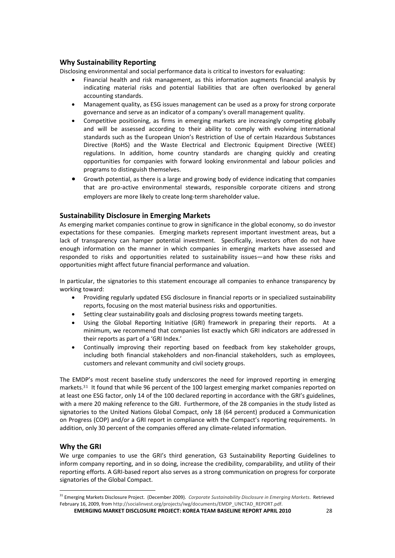### **Why Sustainability Reporting**

Disclosing environmental and social performance data is critical to investors for evaluating:

- Financial health and risk management, as this information augments financial analysis by indicating material risks and potential liabilities that are often overlooked by general accounting standards.
- Management quality, as ESG issues management can be used as a proxy for strong corporate governance and serve as an indicator of a company's overall management quality.
- Competitive positioning, as firms in emerging markets are increasingly competing globally and will be assessed according to their ability to comply with evolving international standards such as the European Union's Restriction of Use of certain Hazardous Substances Directive (RoHS) and the Waste Electrical and Electronic Equipment Directive (WEEE) regulations. In addition, home country standards are changing quickly and creating opportunities for companies with forward looking environmental and labour policies and programs to distinguish themselves.
- Growth potential, as there is a large and growing body of evidence indicating that companies that are pro‐active environmental stewards, responsible corporate citizens and strong employers are more likely to create long-term shareholder value.

### **Sustainability Disclosure in Emerging Markets**

As emerging market companies continue to grow in significance in the global economy, so do investor expectations for these companies. Emerging markets represent important investment areas, but a lack of transparency can hamper potential investment. Specifically, investors often do not have enough information on the manner in which companies in emerging markets have assessed and responded to risks and opportunities related to sustainability issues—and how these risks and opportunities might affect future financial performance and valuation.

In particular, the signatories to this statement encourage all companies to enhance transparency by working toward:

- Providing regularly updated ESG disclosure in financial reports or in specialized sustainability reports, focusing on the most material business risks and opportunities.
- Setting clear sustainability goals and disclosing progress towards meeting targets.
- Using the Global Reporting Initiative (GRI) framework in preparing their reports. At a minimum, we recommend that companies list exactly which GRI indicators are addressed in their reports as part of a 'GRI Index.'
- Continually improving their reporting based on feedback from key stakeholder groups, including both financial stakeholders and non‐financial stakeholders, such as employees, customers and relevant community and civil society groups.

The EMDP's most recent baseline study underscores the need for improved reporting in emerging markets.<sup>31</sup> It found that while 96 percent of the 100 largest emerging market companies reported on at least one ESG factor, only 14 of the 100 declared reporting in accordance with the GRI's guidelines, with a mere 20 making reference to the GRI. Furthermore, of the 28 companies in the study listed as signatories to the United Nations Global Compact, only 18 (64 percent) produced a Communication on Progress (COP) and/or a GRI report in compliance with the Compact's reporting requirements. In addition, only 30 percent of the companies offered any climate‐related information.

### **Why the GRI**

We urge companies to use the GRI's third generation, G3 Sustainability Reporting Guidelines to inform company reporting, and in so doing, increase the credibility, comparability, and utility of their reporting efforts. A GRI‐based report also serves as a strong communication on progress for corporate signatories of the Global Compact.

**EMERGING MARKET DISCLOSURE PROJECT: KOREA TEAM BASELINE REPORT APRIL 2010** 28

<sup>31</sup> Emerging Markets Disclosure Project. (December 2009). *Corporate Sustainability Disclosure in Emerging Markets*. Retrieved February 16, 2009, from http://socialinvest.org/projects/iwg/documents/EMDP\_UNCTAD\_REPORT.pdf.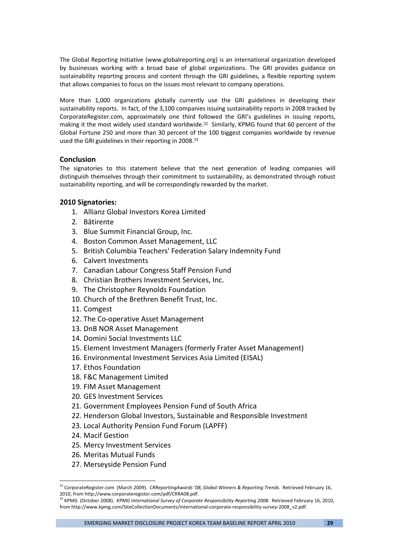The Global Reporting Initiative (www.globalreporting.org) is an international organization developed by businesses working with a broad base of global organizations. The GRI provides guidance on sustainability reporting process and content through the GRI guidelines, a flexible reporting system that allows companies to focus on the issues most relevant to company operations.

More than 1,000 organizations globally currently use the GRI guidelines in developing their sustainability reports. In fact, of the 3,100 companies issuing sustainability reports in 2008 tracked by CorporateRegister.com, approximately one third followed the GRI's guidelines in issuing reports, making it the most widely used standard worldwide.<sup>32</sup> Similarly, KPMG found that 60 percent of the Global Fortune 250 and more than 30 percent of the 100 biggest companies worldwide by revenue used the GRI guidelines in their reporting in 2008.<sup>33</sup>

### **Conclusion**

The signatories to this statement believe that the next generation of leading companies will distinguish themselves through their commitment to sustainability, as demonstrated through robust sustainability reporting, and will be correspondingly rewarded by the market.

### **2010 Signatories:**

- 1. Allianz Global Investors Korea Limited
- 2. Bâtirente
- 3. Blue Summit Financial Group, Inc.
- 4. Boston Common Asset Management, LLC
- 5. British Columbia Teachers' Federation Salary Indemnity Fund
- 6. Calvert Investments
- 7. Canadian Labour Congress Staff Pension Fund
- 8. Christian Brothers Investment Services, Inc.
- 9. The Christopher Reynolds Foundation
- 10. Church of the Brethren Benefit Trust, Inc.
- 11. Comgest
- 12. The Co-operative Asset Management
- 13. DnB NOR Asset Management
- 14. Domini Social Investments LLC
- 15. Element Investment Managers (formerly Frater Asset Management)
- 16. Environmental Investment Services Asia Limited (EISAL)
- 17. Ethos Foundation
- 18. F&C Management Limited
- 19. FIM Asset Management
- 20. GES Investment Services
- 21. Government Employees Pension Fund of South Africa
- 22. Henderson Global Investors, Sustainable and Responsible Investment
- 23. Local Authority Pension Fund Forum (LAPFF)
- 24. Macif Gestion
- 25. Mercy Investment Services
- 26. Meritas Mutual Funds

27. Merseyside Pension Fund

EMERGING MARKET DISCLOSURE PROJECT KOREA TEAM BASELINE REPORT APRIL 2010 **29**

<sup>32</sup> CorporateRegister.com (March 2009). *CRReportingAwards '08, Global Winners & Reporting Trends*. Retrieved February 16, 2010, from http://www.corporateregister.com/pdf/CRRA08.pdf.

<sup>33</sup> KPMG (October 2008). *KPMG International Survey of Corporate Responsibility Reporting 2008*. Retrieved February 16, 2010, from http://www.kpmg.com/SiteCollectionDocuments/International‐corporate‐responsibility‐survey‐2008\_v2.pdf.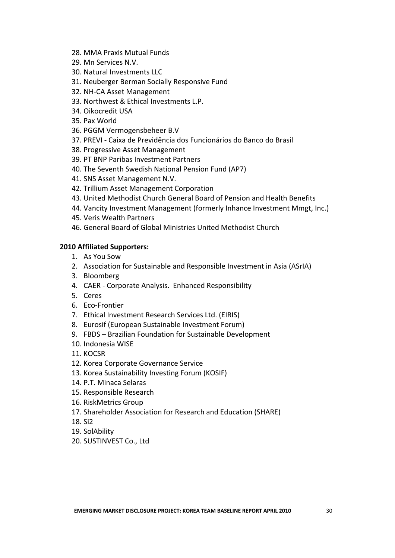- 28. MMA Praxis Mutual Funds
- 29. Mn Services N.V.
- 30. Natural Investments LLC
- 31. Neuberger Berman Socially Responsive Fund
- 32. NH‐CA Asset Management
- 33. Northwest & Ethical Investments L.P.
- 34. Oikocredit USA
- 35. Pax World
- 36. PGGM Vermogensbeheer B.V
- 37. PREVI ‐ Caixa de Previdência dos Funcionários do Banco do Brasil
- 38. Progressive Asset Management
- 39. PT BNP Paribas Investment Partners
- 40. The Seventh Swedish National Pension Fund (AP7)
- 41. SNS Asset Management N.V.
- 42. Trillium Asset Management Corporation
- 43. United Methodist Church General Board of Pension and Health Benefits
- 44. Vancity Investment Management (formerly Inhance Investment Mmgt, Inc.)
- 45. Veris Wealth Partners
- 46. General Board of Global Ministries United Methodist Church

# **2010 Affiliated Supporters:**

- 1. As You Sow
- 2. Association for Sustainable and Responsible Investment in Asia (ASrIA)
- 3. Bloomberg
- 4. CAER ‐ Corporate Analysis. Enhanced Responsibility
- 5. Ceres
- 6. Eco‐Frontier
- 7. Ethical Investment Research Services Ltd. (EIRIS)
- 8. Eurosif (European Sustainable Investment Forum)
- 9. FBDS Brazilian Foundation for Sustainable Development
- 10. Indonesia WISE
- 11. KOCSR
- 12. Korea Corporate Governance Service
- 13. Korea Sustainability Investing Forum (KOSIF)
- 14. P.T. Minaca Selaras
- 15. Responsible Research
- 16. RiskMetrics Group
- 17. Shareholder Association for Research and Education (SHARE)
- 18. Si2
- 19. SolAbility
- 20. SUSTINVEST Co., Ltd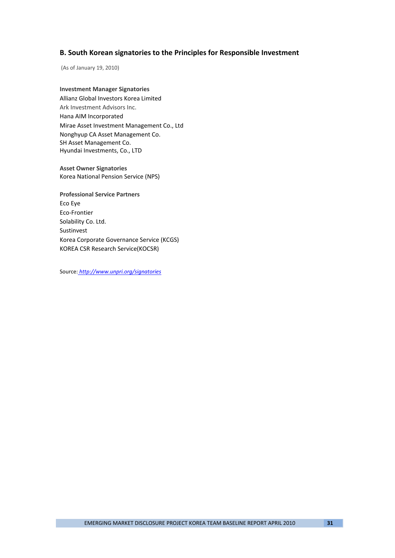### **B. South Korean signatories to the Principles for Responsible Investment**

(As of January 19, 2010)

**Investment Manager Signatories** Allianz Global Investors Korea Limited Ark Investment Advisors Inc. Hana AIM Incorporated Mirae Asset Investment Management Co., Ltd Nonghyup CA Asset Management Co. SH Asset Management Co. Hyundai Investments, Co., LTD

**Asset Owner Signatories** Korea National Pension Service (NPS)

**Professional Service Partners** Eco Eye Eco‐Frontier Solability Co. Ltd. Sustinvest Korea Corporate Governance Service (KCGS) KOREA CSR Research Service(KOCSR)

Source: *http://www.unpri.org/signatories*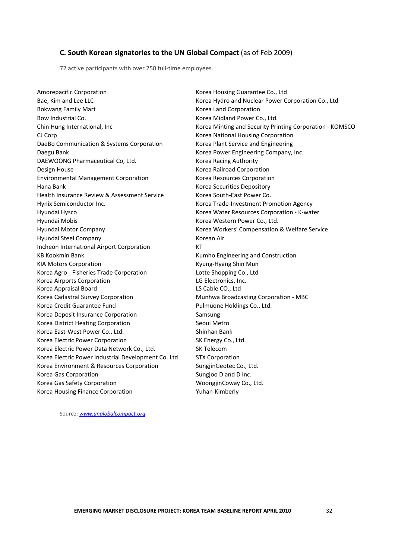### **C. South Korean signatories to the UN Global Compact** (as of Feb 2009)

72 active participants with over 250 full-time employees.

Amorepacific Corporation 
and the contract of the contract of the Korea Housing Guarantee Co., Ltd Bokwang Family Mart **The Contract Contract Contract Contract Contract Contract Contract Contract Contract Contract Contract Contract Contract Contract Contract Contract Contract Contract Contract Contract Contract Contract** Bow Industrial Co. **Bow Industrial Co. Co.** *Korea Midland Power Co., Ltd.* CJ Corp Korea National Housing Corporation DaeBo Communication & Systems Corporation **Korea Plant Service and Engineering** Daegu Bank Korea Power Engineering Company, Inc. DAEWOONG Pharmaceutical Co, Ltd. **Matcheson Contact Contact Contact Contact Contact Contact Contact Contact Contact Contact Contact Contact Contact Contact Contact Contact Contact Contact Contact Contact Contact Contact C** Design House Korea Railroad Corporation Environmental Management Corporation Korea Resources Corporation Hana Bank Korea Securities Depository Health Insurance Review & Assessment Service Korea South‐East Power Co. Hynix Semiconductor Inc. Korea Trade‐Investment Promotion Agency Hyundai Hysco Korea Water Resources Corporation - K-water Hyundai Mobis **Korea Western Power Co., Ltd.** Communist Communist Communist Communist Communist Communist Communist Communist Communist Communist Communist Communist Communist Communist Communist Communist Communist Commun Hyundai Motor Company Korea Workers' Compensation & Welfare Service Hyundai Steel Company **Korean Air** Korean Air Incheon International Airport Corporation KT KB Kookmin Bank **Kumho Engineering and Construction** KIA Motors Corporation KIA Munitive Kyung-Hyang Shin Munitive Kyung-Hyang Shin Munitive Kyung-Hyang Shin Munitive Kyung-Hyang Shin Munitive Kyung-Hyang Shin Munitive Kyung-Hyang Shin Munitive Kyung-Hyang Shin Munitive Kyun Korea Agro - Fisheries Trade Corporation Lotte Shopping Co., Ltd Korea Airports Corporation **LG Electronics**, Inc. Korea Appraisal Board LS Cable CO., Ltd Korea Cadastral Survey Corporation Munhwa Broadcasting Corporation - MBC Korea Credit Guarantee Fund **The Communist Communist Communist Communist Communist Communist Communist Communist Communist Communist Communist Communist Communist Communist Communist Communist Communist Communist Communist** Korea Deposit Insurance Corporation **Samsung** Samsung Korea District Heating Corporation **Sexual Secul Metro** Seoul Metro Korea East-West Power Co., Ltd. Shinhan Bank Korea Electric Power Corporation **SK Energy Co., Ltd.** Korea Electric Power Data Network Co., Ltd. SK Telecom Korea Electric Power Industrial Development Co. Ltd STX Corporation Korea Environment & Resources Corporation **SungjinGeotec Co., Ltd.** Korea Gas Corporation **Sungioo D** and D Inc. Korea Gas Safety Corporation **by Community** Co., Ltd. Korea Housing Finance Corporation Yuhan-Kimberly

Bae, Kim and Lee LLC **Korea Hydro and Nuclear Power Corporation Co.**, Ltd Chin Hung International, Inc *Chin Hung International, Inc*  **Korea Minting and Security Printing Corporation - KOMSCO** 

Source: *www.unglobalcompact.org*